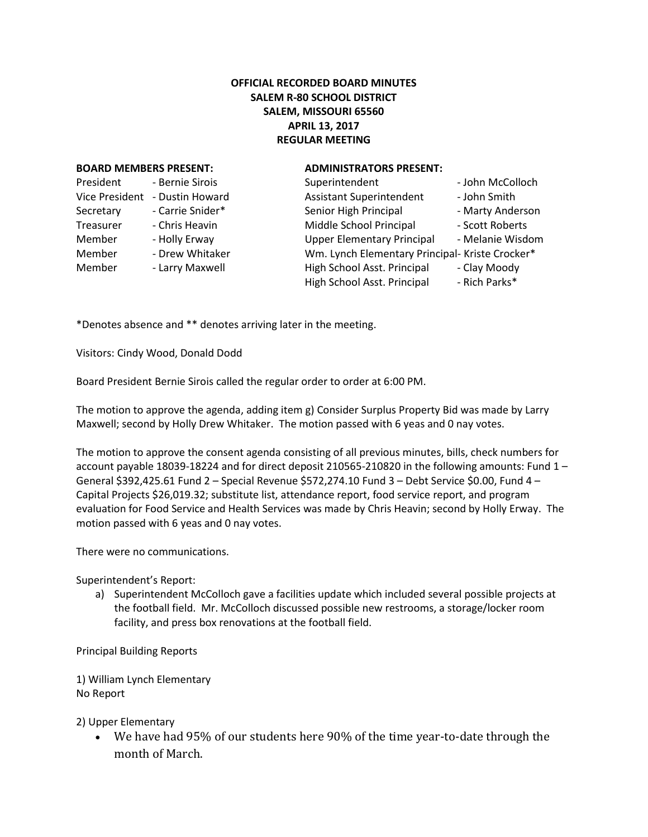## **OFFICIAL RECORDED BOARD MINUTES SALEM R-80 SCHOOL DISTRICT SALEM, MISSOURI 65560 APRIL 13, 2017 REGULAR MEETING**

## **BOARD MEMBERS PRESENT: ADMINISTRATORS PRESENT:**

| President             | - Bernie Sirois  |  |
|-----------------------|------------------|--|
| <b>Vice President</b> | - Dustin Howard  |  |
| Secretary             | - Carrie Snider* |  |
| Treasurer             | - Chris Heavin   |  |
| Member                | - Holly Erway    |  |
| Member                | - Drew Whitaker  |  |
| Member                | - Larry Maxwell  |  |
|                       |                  |  |

| President      | - Bernie Sirois  | Superintendent                                  | - John McColloch |
|----------------|------------------|-------------------------------------------------|------------------|
| Vice President | - Dustin Howard  | <b>Assistant Superintendent</b>                 | - John Smith     |
| Secretary      | - Carrie Snider* | Senior High Principal                           | - Marty Anderson |
| Treasurer      | - Chris Heavin   | Middle School Principal                         | - Scott Roberts  |
| Member         | - Holly Erway    | <b>Upper Elementary Principal</b>               | - Melanie Wisdom |
| Member         | - Drew Whitaker  | Wm. Lynch Elementary Principal- Kriste Crocker* |                  |
| Member         | - Larry Maxwell  | High School Asst. Principal                     | - Clay Moody     |
|                |                  | High School Asst. Principal                     | - Rich Parks*    |
|                |                  |                                                 |                  |

\*Denotes absence and \*\* denotes arriving later in the meeting.

Visitors: Cindy Wood, Donald Dodd

Board President Bernie Sirois called the regular order to order at 6:00 PM.

The motion to approve the agenda, adding item g) Consider Surplus Property Bid was made by Larry Maxwell; second by Holly Drew Whitaker. The motion passed with 6 yeas and 0 nay votes.

The motion to approve the consent agenda consisting of all previous minutes, bills, check numbers for account payable 18039-18224 and for direct deposit 210565-210820 in the following amounts: Fund 1 – General \$392,425.61 Fund 2 – Special Revenue \$572,274.10 Fund 3 – Debt Service \$0.00, Fund 4 – Capital Projects \$26,019.32; substitute list, attendance report, food service report, and program evaluation for Food Service and Health Services was made by Chris Heavin; second by Holly Erway. The motion passed with 6 yeas and 0 nay votes.

There were no communications.

Superintendent's Report:

a) Superintendent McColloch gave a facilities update which included several possible projects at the football field. Mr. McColloch discussed possible new restrooms, a storage/locker room facility, and press box renovations at the football field.

Principal Building Reports

1) William Lynch Elementary No Report

2) Upper Elementary

 We have had 95% of our students here 90% of the time year-to-date through the month of March.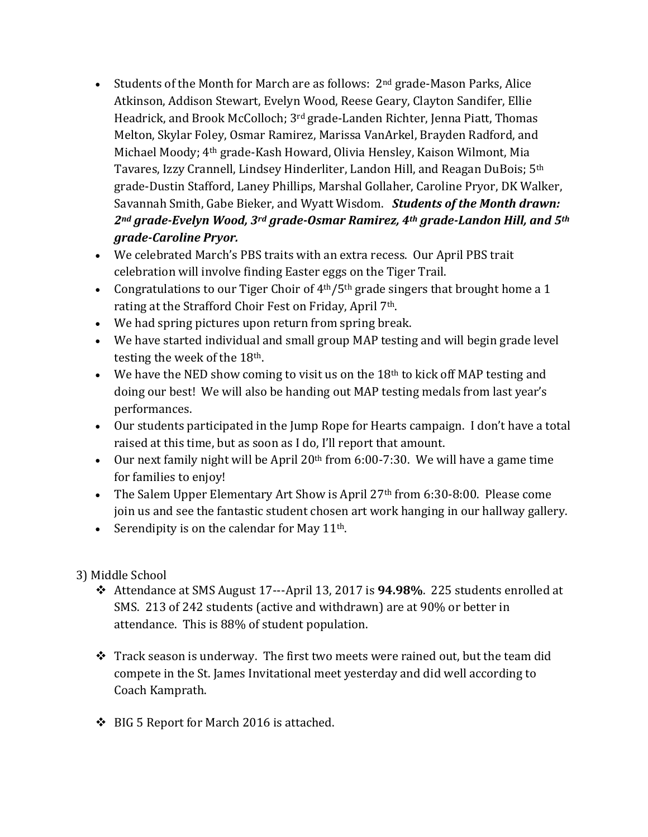- Students of the Month for March are as follows:  $2<sup>nd</sup>$  grade-Mason Parks, Alice Atkinson, Addison Stewart, Evelyn Wood, Reese Geary, Clayton Sandifer, Ellie Headrick, and Brook McColloch; 3rd grade-Landen Richter, Jenna Piatt, Thomas Melton, Skylar Foley, Osmar Ramirez, Marissa VanArkel, Brayden Radford, and Michael Moody; 4th grade-Kash Howard, Olivia Hensley, Kaison Wilmont, Mia Tavares, Izzy Crannell, Lindsey Hinderliter, Landon Hill, and Reagan DuBois; 5th grade-Dustin Stafford, Laney Phillips, Marshal Gollaher, Caroline Pryor, DK Walker, Savannah Smith, Gabe Bieker, and Wyatt Wisdom. *Students of the Month drawn: 2nd grade-Evelyn Wood, 3rd grade-Osmar Ramirez, 4th grade-Landon Hill, and 5th grade-Caroline Pryor.*
- We celebrated March's PBS traits with an extra recess. Our April PBS trait celebration will involve finding Easter eggs on the Tiger Trail.
- Congratulations to our Tiger Choir of  $4<sup>th</sup>/5<sup>th</sup>$  grade singers that brought home a 1 rating at the Strafford Choir Fest on Friday, April 7<sup>th</sup>.
- We had spring pictures upon return from spring break.
- We have started individual and small group MAP testing and will begin grade level testing the week of the 18th.
- $\bullet$  We have the NED show coming to visit us on the 18<sup>th</sup> to kick off MAP testing and doing our best! We will also be handing out MAP testing medals from last year's performances.
- Our students participated in the Jump Rope for Hearts campaign. I don't have a total raised at this time, but as soon as I do, I'll report that amount.
- Our next family night will be April  $20<sup>th</sup>$  from 6:00-7:30. We will have a game time for families to enjoy!
- The Salem Upper Elementary Art Show is April 27<sup>th</sup> from 6:30-8:00. Please come join us and see the fantastic student chosen art work hanging in our hallway gallery.
- Serendipity is on the calendar for May  $11<sup>th</sup>$ .
- 3) Middle School
	- Attendance at SMS August 17---April 13, 2017 is **94.98%**. 225 students enrolled at SMS. 213 of 242 students (active and withdrawn) are at 90% or better in attendance. This is 88% of student population.
	- \* Track season is underway. The first two meets were rained out, but the team did compete in the St. James Invitational meet yesterday and did well according to Coach Kamprath.
	- BIG 5 Report for March 2016 is attached.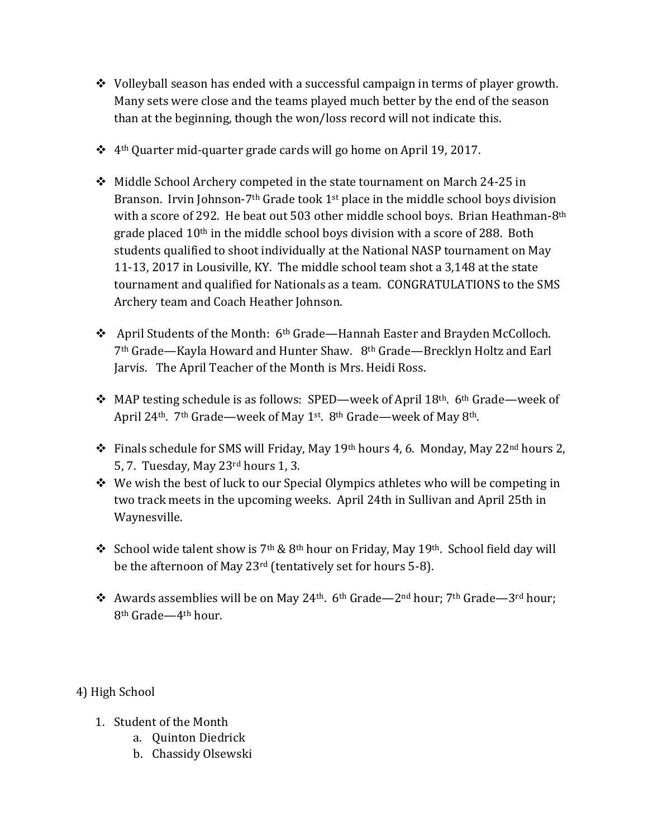- $\div$  Volleyball season has ended with a successful campaign in terms of player growth. Many sets were close and the teams played much better by the end of the season than at the beginning, though the won/loss record will not indicate this.
- $\cdot$  4<sup>th</sup> Quarter mid-quarter grade cards will go home on April 19, 2017.
- Middle School Archery competed in the state tournament on March 24-25 in Branson. Irvin Johnson-7<sup>th</sup> Grade took 1<sup>st</sup> place in the middle school boys division with a score of 292. He beat out 503 other middle school boys. Brian Heathman-8th grade placed 10<sup>th</sup> in the middle school boys division with a score of 288. Both students qualified to shoot individually at the National NASP tournament on May 11-13, 2017 in Lousiville, KY. The middle school team shot a 3,148 at the state tournament and qualified for Nationals as a team. CONGRATULATIONS to the SMS Archery team and Coach Heather Johnson.
- April Students of the Month: 6th Grade—Hannah Easter and Brayden McColloch. 7th Grade—Kayla Howard and Hunter Shaw. 8th Grade—Brecklyn Holtz and Earl Jarvis. The April Teacher of the Month is Mrs. Heidi Ross.
- MAP testing schedule is as follows: SPED—week of April 18<sup>th</sup>. 6<sup>th</sup> Grade—week of April 24<sup>th</sup>. 7<sup>th</sup> Grade—week of May 1<sup>st</sup>. 8<sup>th</sup> Grade—week of May 8<sup>th</sup>.
- Finals schedule for SMS will Friday, May 19th hours 4, 6. Monday, May 22nd hours 2, 5, 7. Tuesday, May 23rd hours 1, 3.
- $\cdot$  We wish the best of luck to our Special Olympics athletes who will be competing in two track meets in the upcoming weeks. April 24th in Sullivan and April 25th in Waynesville.
- School wide talent show is 7<sup>th</sup> & 8<sup>th</sup> hour on Friday, May 19<sup>th</sup>. School field day will be the afternoon of May 23rd (tentatively set for hours 5-8).
- $\cdot$  Awards assemblies will be on May 24<sup>th</sup>. 6<sup>th</sup> Grade—2<sup>nd</sup> hour; 7<sup>th</sup> Grade—3<sup>rd</sup> hour; 8th Grade—4th hour.

4) High School

- 1. Student of the Month
	- a. Quinton Diedrick
	- b. Chassidy Olsewski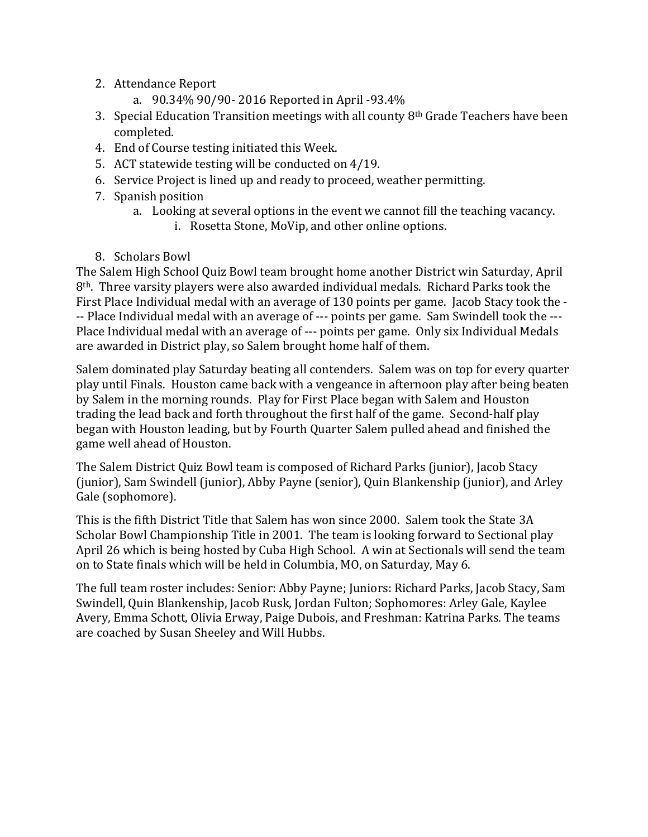- 2. Attendance Report
	- a. 90.34% 90/90- 2016 Reported in April -93.4%
- 3. Special Education Transition meetings with all county 8th Grade Teachers have been completed.
- 4. End of Course testing initiated this Week.
- 5. ACT statewide testing will be conducted on 4/19.
- 6. Service Project is lined up and ready to proceed, weather permitting.
- 7. Spanish position
	- a. Looking at several options in the event we cannot fill the teaching vacancy. i. Rosetta Stone, MoVip, and other online options.
- 8. Scholars Bowl

The Salem High School Quiz Bowl team brought home another District win Saturday, April 8th. Three varsity players were also awarded individual medals. Richard Parks took the First Place Individual medal with an average of 130 points per game. Jacob Stacy took the - -- Place Individual medal with an average of --- points per game. Sam Swindell took the --- Place Individual medal with an average of --- points per game. Only six Individual Medals are awarded in District play, so Salem brought home half of them.

Salem dominated play Saturday beating all contenders. Salem was on top for every quarter play until Finals. Houston came back with a vengeance in afternoon play after being beaten by Salem in the morning rounds. Play for First Place began with Salem and Houston trading the lead back and forth throughout the first half of the game. Second-half play began with Houston leading, but by Fourth Quarter Salem pulled ahead and finished the game well ahead of Houston.

The Salem District Quiz Bowl team is composed of Richard Parks (junior), Jacob Stacy (junior), Sam Swindell (junior), Abby Payne (senior), Quin Blankenship (junior), and Arley Gale (sophomore).

This is the fifth District Title that Salem has won since 2000. Salem took the State 3A Scholar Bowl Championship Title in 2001. The team is looking forward to Sectional play April 26 which is being hosted by Cuba High School. A win at Sectionals will send the team on to State finals which will be held in Columbia, MO, on Saturday, May 6.

The full team roster includes: Senior: Abby Payne; Juniors: Richard Parks, Jacob Stacy, Sam Swindell, Quin Blankenship, Jacob Rusk, Jordan Fulton; Sophomores: Arley Gale, Kaylee Avery, Emma Schott, Olivia Erway, Paige Dubois, and Freshman: Katrina Parks. The teams are coached by Susan Sheeley and Will Hubbs.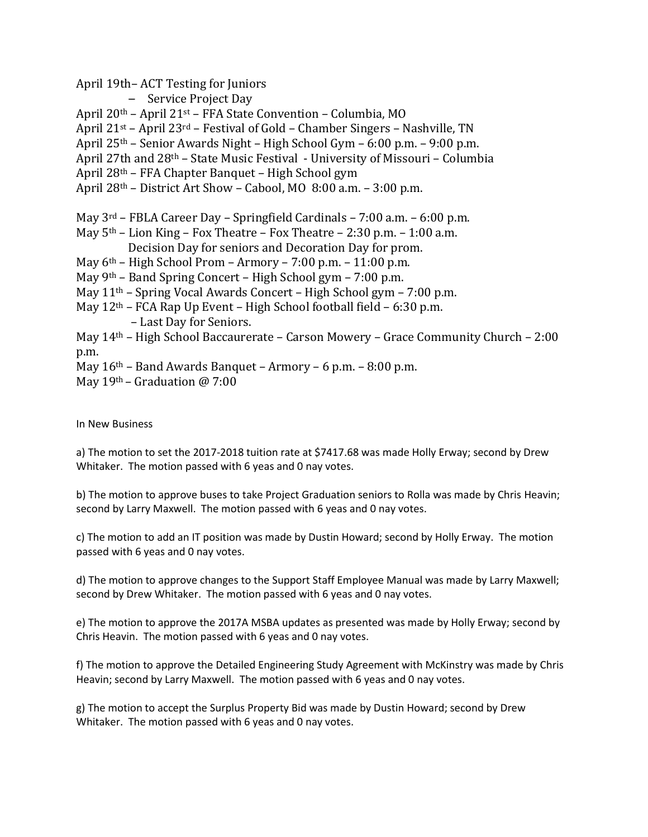April 19th– ACT Testing for Juniors

– Service Project Day

April 20th – April 21st – FFA State Convention – Columbia, MO

April 21st – April 23rd – Festival of Gold – Chamber Singers – Nashville, TN

April 25th – Senior Awards Night – High School Gym – 6:00 p.m. – 9:00 p.m.

April 27th and 28th – State Music Festival - University of Missouri – Columbia

April 28th – FFA Chapter Banquet – High School gym

April 28th – District Art Show – Cabool, MO 8:00 a.m. – 3:00 p.m.

May 3rd – FBLA Career Day – Springfield Cardinals – 7:00 a.m. – 6:00 p.m.

May  $5<sup>th</sup>$  – Lion King – Fox Theatre – Fox Theatre – 2:30 p.m. – 1:00 a.m.

Decision Day for seniors and Decoration Day for prom.

May 6th – High School Prom – Armory – 7:00 p.m. – 11:00 p.m.

May 9th – Band Spring Concert – High School gym – 7:00 p.m.

May 11th – Spring Vocal Awards Concert – High School gym – 7:00 p.m.

May 12th – FCA Rap Up Event – High School football field – 6:30 p.m.

– Last Day for Seniors.

May 14th – High School Baccaurerate – Carson Mowery – Grace Community Church – 2:00 p.m.

May 16th – Band Awards Banquet – Armory – 6 p.m. – 8:00 p.m.

May 19th – Graduation @ 7:00

In New Business

a) The motion to set the 2017-2018 tuition rate at \$7417.68 was made Holly Erway; second by Drew Whitaker. The motion passed with 6 yeas and 0 nay votes.

b) The motion to approve buses to take Project Graduation seniors to Rolla was made by Chris Heavin; second by Larry Maxwell. The motion passed with 6 yeas and 0 nay votes.

c) The motion to add an IT position was made by Dustin Howard; second by Holly Erway. The motion passed with 6 yeas and 0 nay votes.

d) The motion to approve changes to the Support Staff Employee Manual was made by Larry Maxwell; second by Drew Whitaker. The motion passed with 6 yeas and 0 nay votes.

e) The motion to approve the 2017A MSBA updates as presented was made by Holly Erway; second by Chris Heavin. The motion passed with 6 yeas and 0 nay votes.

f) The motion to approve the Detailed Engineering Study Agreement with McKinstry was made by Chris Heavin; second by Larry Maxwell. The motion passed with 6 yeas and 0 nay votes.

g) The motion to accept the Surplus Property Bid was made by Dustin Howard; second by Drew Whitaker. The motion passed with 6 yeas and 0 nay votes.